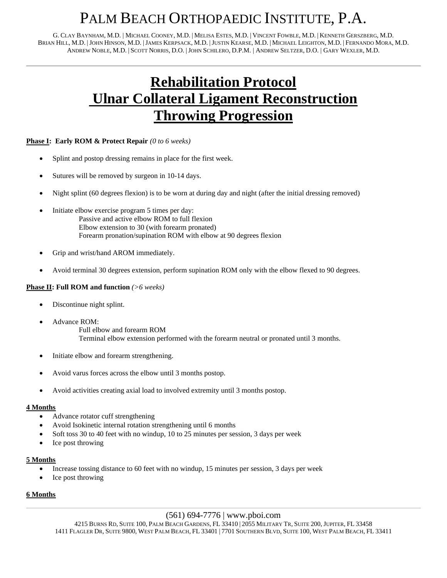## PALM BEACH ORTHOPAEDIC INSTITUTE, P.A.

G. CLAY BAYNHAM, M.D. | MICHAEL COONEY, M.D. | MELISA ESTES, M.D. | VINCENT FOWBLE, M.D. | KENNETH GERSZBERG, M.D. BRIAN HILL, M.D. |JOHN HINSON, M.D. |JAMES KERPSACK, M.D. |JUSTIN KEARSE, M.D. | MICHAEL LEIGHTON, M.D. | FERNANDO MORA, M.D. ANDREW NOBLE, M.D. | SCOTT NORRIS, D.O. |JOHN SCHILERO, D.P.M. | ANDREW SELTZER, D.O. | GARY WEXLER, M.D.

## **Rehabilitation Protocol Ulnar Collateral Ligament Reconstruction Throwing Progression**

## **Phase I: Early ROM & Protect Repair** *(0 to 6 weeks)*

- Splint and postop dressing remains in place for the first week.
- Sutures will be removed by surgeon in 10-14 days.
- Night splint (60 degrees flexion) is to be worn at during day and night (after the initial dressing removed)
- Initiate elbow exercise program 5 times per day: Passive and active elbow ROM to full flexion Elbow extension to 30 (with forearm pronated) Forearm pronation/supination ROM with elbow at 90 degrees flexion
- Grip and wrist/hand AROM immediately.
- Avoid terminal 30 degrees extension, perform supination ROM only with the elbow flexed to 90 degrees.

#### **Phase II: Full ROM and function** *(>6 weeks)*

- Discontinue night splint.
	- Advance ROM: Full elbow and forearm ROM Terminal elbow extension performed with the forearm neutral or pronated until 3 months.
- Initiate elbow and forearm strengthening.
- Avoid varus forces across the elbow until 3 months postop.
- Avoid activities creating axial load to involved extremity until 3 months postop.

#### **4 Months**

- Advance rotator cuff strengthening
- Avoid Isokinetic internal rotation strengthening until 6 months
- Soft toss 30 to 40 feet with no windup, 10 to 25 minutes per session, 3 days per week
- Ice post throwing

#### **5 Months**

- Increase tossing distance to 60 feet with no windup, 15 minutes per session, 3 days per week
- Ice post throwing

## **6 Months**

## (561) 694-7776 | www.pboi.com

4215 BURNS RD, SUITE 100, PALM BEACH GARDENS, FL 33410 | 2055 MILITARY TR, SUITE 200, JUPITER, FL 33458 1411 FLAGLER DR, SUITE 9800, WEST PALM BEACH, FL 33401 | 7701 SOUTHERN BLVD, SUITE 100, WEST PALM BEACH, FL 33411